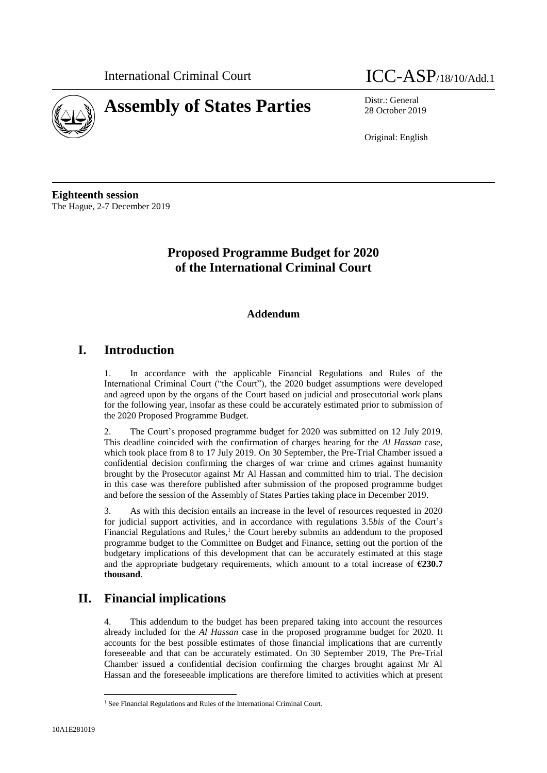



28 October 2019

Original: English

**Eighteenth session** The Hague, 2-7 December 2019

# **Proposed Programme Budget for 2020 of the International Criminal Court**

## **Addendum**

## **I. Introduction**

1. In accordance with the applicable Financial Regulations and Rules of the International Criminal Court ("the Court"), the 2020 budget assumptions were developed and agreed upon by the organs of the Court based on judicial and prosecutorial work plans for the following year, insofar as these could be accurately estimated prior to submission of the 2020 Proposed Programme Budget.

2. The Court's proposed programme budget for 2020 was submitted on 12 July 2019. This deadline coincided with the confirmation of charges hearing for the *Al Hassan* case, which took place from 8 to 17 July 2019. On 30 September, the Pre-Trial Chamber issued a confidential decision confirming the charges of war crime and crimes against humanity brought by the Prosecutor against Mr Al Hassan and committed him to trial. The decision in this case was therefore published after submission of the proposed programme budget and before the session of the Assembly of States Parties taking place in December 2019.

3. As with this decision entails an increase in the level of resources requested in 2020 for judicial support activities, and in accordance with regulations 3.5*bis* of the Court's Financial Regulations and Rules,<sup>1</sup> the Court hereby submits an addendum to the proposed programme budget to the Committee on Budget and Finance, setting out the portion of the budgetary implications of this development that can be accurately estimated at this stage and the appropriate budgetary requirements, which amount to a total increase of **€230.7 thousand**.

# **II. Financial implications**

4. This addendum to the budget has been prepared taking into account the resources already included for the *Al Hassan* case in the proposed programme budget for 2020. It accounts for the best possible estimates of those financial implications that are currently foreseeable and that can be accurately estimated. On 30 September 2019, The Pre-Trial Chamber issued a confidential decision confirming the charges brought against Mr Al Hassan and the foreseeable implications are therefore limited to activities which at present

 $\overline{\phantom{a}}$ 

<sup>&</sup>lt;sup>1</sup> See Financial Regulations and Rules of the International Criminal Court.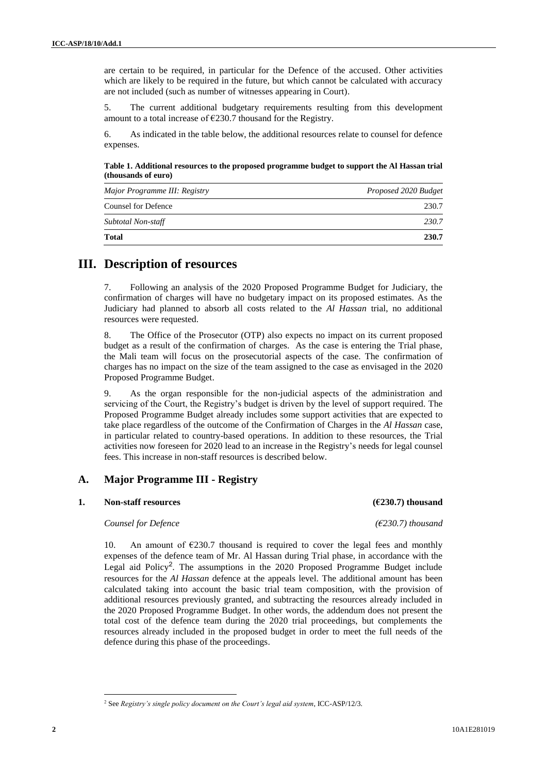are certain to be required, in particular for the Defence of the accused. Other activities which are likely to be required in the future, but which cannot be calculated with accuracy are not included (such as number of witnesses appearing in Court).

5. The current additional budgetary requirements resulting from this development amount to a total increase of  $\epsilon$ 230.7 thousand for the Registry.

6. As indicated in the table below, the additional resources relate to counsel for defence expenses.

**Table 1. Additional resources to the proposed programme budget to support the Al Hassan trial (thousands of euro)**

| Major Programme III: Registry | Proposed 2020 Budget |  |  |  |
|-------------------------------|----------------------|--|--|--|
| <b>Counsel for Defence</b>    | 230.7                |  |  |  |
| Subtotal Non-staff            | 230.7                |  |  |  |
| <b>Total</b>                  | 230.7                |  |  |  |

## **III. Description of resources**

7. Following an analysis of the 2020 Proposed Programme Budget for Judiciary, the confirmation of charges will have no budgetary impact on its proposed estimates. As the Judiciary had planned to absorb all costs related to the *Al Hassan* trial, no additional resources were requested.

8. The Office of the Prosecutor (OTP) also expects no impact on its current proposed budget as a result of the confirmation of charges. As the case is entering the Trial phase, the Mali team will focus on the prosecutorial aspects of the case. The confirmation of charges has no impact on the size of the team assigned to the case as envisaged in the 2020 Proposed Programme Budget.

9. As the organ responsible for the non-judicial aspects of the administration and servicing of the Court, the Registry's budget is driven by the level of support required. The Proposed Programme Budget already includes some support activities that are expected to take place regardless of the outcome of the Confirmation of Charges in the *Al Hassan* case, in particular related to country-based operations. In addition to these resources, the Trial activities now foreseen for 2020 lead to an increase in the Registry's needs for legal counsel fees. This increase in non-staff resources is described below.

#### **A. Major Programme III - Registry**

#### **1. Non-staff resources (€230.7) thousand**

#### *Counsel for Defence (€230.7) thousand*

10. An amount of  $\epsilon$ 230.7 thousand is required to cover the legal fees and monthly expenses of the defence team of Mr. Al Hassan during Trial phase, in accordance with the Legal aid Policy<sup>2</sup>. The assumptions in the 2020 Proposed Programme Budget include resources for the *Al Hassan* defence at the appeals level. The additional amount has been calculated taking into account the basic trial team composition, with the provision of additional resources previously granted, and subtracting the resources already included in the 2020 Proposed Programme Budget. In other words, the addendum does not present the total cost of the defence team during the 2020 trial proceedings, but complements the resources already included in the proposed budget in order to meet the full needs of the defence during this phase of the proceedings.

 $\overline{\phantom{a}}$ 

<sup>2</sup> See *Registry's single policy document on the Court's legal aid system*, ICC-ASP/12/3.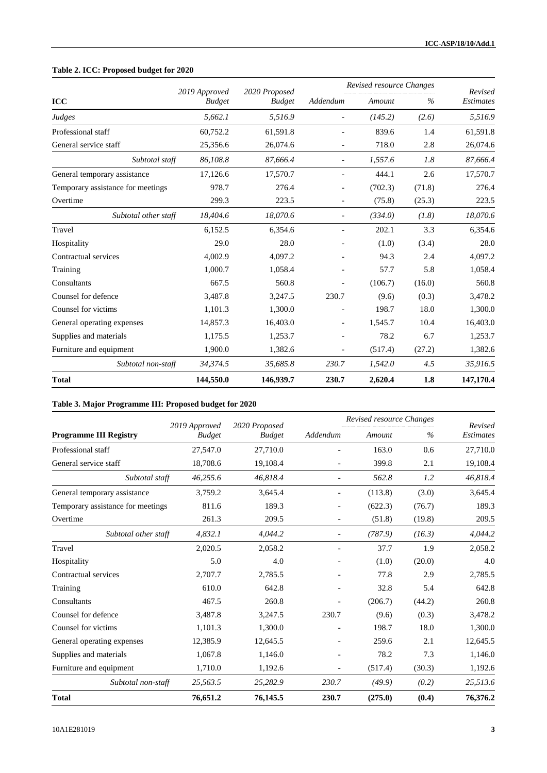## **Table 2. ICC: Proposed budget for 2020**

|                                   | 2019 Approved<br><b>Budget</b> | 2020 Proposed<br><b>Budget</b> | Revised resource Changes     |         |        | Revised          |
|-----------------------------------|--------------------------------|--------------------------------|------------------------------|---------|--------|------------------|
| <b>ICC</b>                        |                                |                                | Addendum                     | Amount  | $\%$   | <b>Estimates</b> |
| Judges                            | 5,662.1                        | 5,516.9                        |                              | (145.2) | (2.6)  | 5,516.9          |
| Professional staff                | 60.752.2                       | 61,591.8                       |                              | 839.6   | 1.4    | 61,591.8         |
| General service staff             | 25,356.6                       | 26,074.6                       | $\overline{\phantom{0}}$     | 718.0   | 2.8    | 26,074.6         |
| Subtotal staff                    | 86,108.8                       | 87,666.4                       |                              | 1,557.6 | 1.8    | 87,666.4         |
| General temporary assistance      | 17,126.6                       | 17,570.7                       | $\overline{\phantom{0}}$     | 444.1   | 2.6    | 17,570.7         |
| Temporary assistance for meetings | 978.7                          | 276.4                          | $\overline{\phantom{0}}$     | (702.3) | (71.8) | 276.4            |
| Overtime                          | 299.3                          | 223.5                          | $\qquad \qquad -$            | (75.8)  | (25.3) | 223.5            |
| Subtotal other staff              | 18,404.6                       | 18,070.6                       |                              | (334.0) | (1.8)  | 18,070.6         |
| Travel                            | 6,152.5                        | 6,354.6                        |                              | 202.1   | 3.3    | 6,354.6          |
| Hospitality                       | 29.0                           | 28.0                           |                              | (1.0)   | (3.4)  | 28.0             |
| Contractual services              | 4,002.9                        | 4,097.2                        |                              | 94.3    | 2.4    | 4,097.2          |
| Training                          | 1,000.7                        | 1,058.4                        |                              | 57.7    | 5.8    | 1,058.4          |
| Consultants                       | 667.5                          | 560.8                          |                              | (106.7) | (16.0) | 560.8            |
| Counsel for defence               | 3.487.8                        | 3.247.5                        | 230.7                        | (9.6)   | (0.3)  | 3.478.2          |
| Counsel for victims               | 1,101.3                        | 1,300.0                        |                              | 198.7   | 18.0   | 1,300.0          |
| General operating expenses        | 14,857.3                       | 16,403.0                       | $\qquad \qquad \blacksquare$ | 1,545.7 | 10.4   | 16,403.0         |
| Supplies and materials            | 1,175.5                        | 1,253.7                        | $\overline{a}$               | 78.2    | 6.7    | 1,253.7          |
| Furniture and equipment           | 1,900.0                        | 1,382.6                        | $\overline{\phantom{0}}$     | (517.4) | (27.2) | 1,382.6          |
| Subtotal non-staff                | 34,374.5                       | 35,685.8                       | 230.7                        | 1,542.0 | 4.5    | 35,916.5         |
| <b>Total</b>                      | 144,550.0                      | 146,939.7                      | 230.7                        | 2,620.4 | 1.8    | 147,170.4        |

#### **Table 3. Major Programme III: Proposed budget for 2020**

|                                   | 2019 Approved<br><b>Budget</b> | 2020 Proposed<br><b>Budget</b> | Revised resource Changes |         |        | Revised          |
|-----------------------------------|--------------------------------|--------------------------------|--------------------------|---------|--------|------------------|
| <b>Programme III Registry</b>     |                                |                                | Addendum                 | Amount  | $\%$   | <b>Estimates</b> |
| Professional staff                | 27,547.0                       | 27,710.0                       |                          | 163.0   | 0.6    | 27,710.0         |
| General service staff             | 18,708.6                       | 19,108.4                       | $\overline{\phantom{a}}$ | 399.8   | 2.1    | 19,108.4         |
| Subtotal staff                    | 46,255.6                       | 46,818.4                       | $\overline{a}$           | 562.8   | 1.2    | 46,818.4         |
| General temporary assistance      | 3,759.2                        | 3,645.4                        |                          | (113.8) | (3.0)  | 3,645.4          |
| Temporary assistance for meetings | 811.6                          | 189.3                          | $\overline{\phantom{a}}$ | (622.3) | (76.7) | 189.3            |
| Overtime                          | 261.3                          | 209.5                          | $\overline{\phantom{a}}$ | (51.8)  | (19.8) | 209.5            |
| Subtotal other staff              | 4,832.1                        | 4,044.2                        | $\overline{\phantom{a}}$ | (787.9) | (16.3) | 4,044.2          |
| Travel                            | 2,020.5                        | 2,058.2                        | $\overline{\phantom{a}}$ | 37.7    | 1.9    | 2,058.2          |
| Hospitality                       | 5.0                            | 4.0                            |                          | (1.0)   | (20.0) | 4.0              |
| Contractual services              | 2,707.7                        | 2,785.5                        |                          | 77.8    | 2.9    | 2,785.5          |
| Training                          | 610.0                          | 642.8                          |                          | 32.8    | 5.4    | 642.8            |
| Consultants                       | 467.5                          | 260.8                          | $\overline{\phantom{a}}$ | (206.7) | (44.2) | 260.8            |
| Counsel for defence               | 3,487.8                        | 3,247.5                        | 230.7                    | (9.6)   | (0.3)  | 3,478.2          |
| Counsel for victims               | 1,101.3                        | 1,300.0                        |                          | 198.7   | 18.0   | 1,300.0          |
| General operating expenses        | 12,385.9                       | 12,645.5                       | $\overline{\phantom{a}}$ | 259.6   | 2.1    | 12,645.5         |
| Supplies and materials            | 1,067.8                        | 1,146.0                        |                          | 78.2    | 7.3    | 1,146.0          |
| Furniture and equipment           | 1,710.0                        | 1,192.6                        | $\overline{\phantom{a}}$ | (517.4) | (30.3) | 1,192.6          |
| Subtotal non-staff                | 25,563.5                       | 25,282.9                       | 230.7                    | (49.9)  | (0.2)  | 25,513.6         |
| <b>Total</b>                      | 76,651.2                       | 76,145.5                       | 230.7                    | (275.0) | (0.4)  | 76,376.2         |